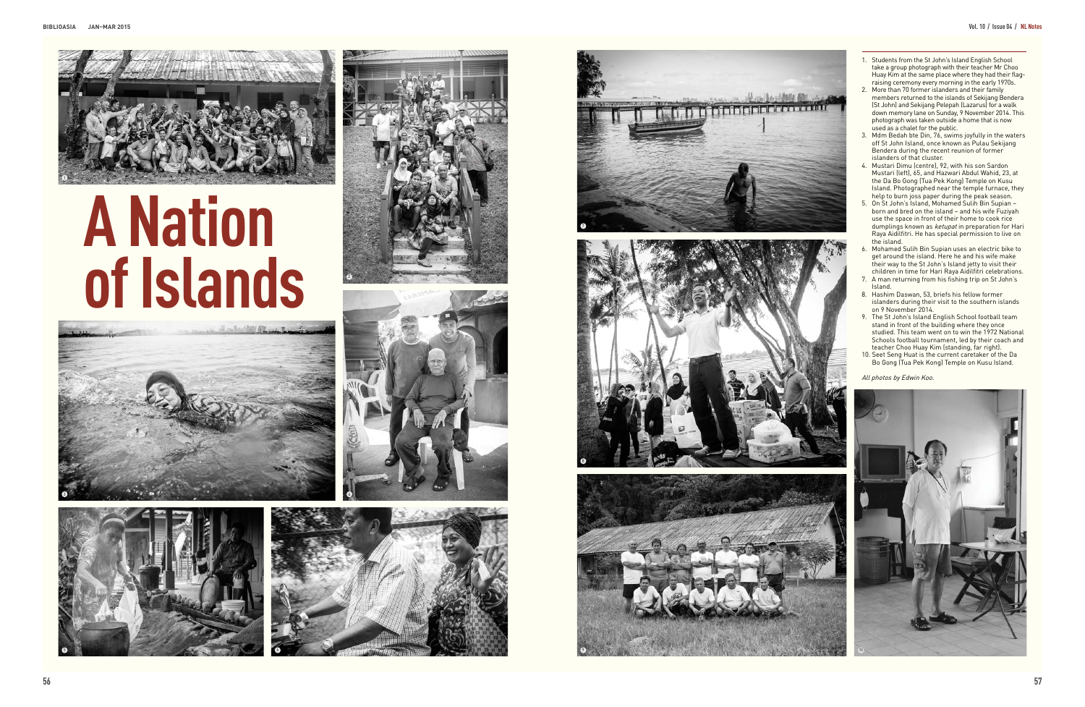



2

4









- 1. Students from the St John's Island English School take a group photograph with their teacher Mr Choo Huay Kim at the same place where they had their flagraising ceremony every morning in the early 1970s.
- 2. More than 70 former islanders and their family members returned to the islands of Sekijang Bendera (St John) and Sekijang Pelepah (Lazarus) for a walk down memory lane on Sunday, 9 November 2014. This photograph was taken outside a home that is now used as a chalet for the public.
- 3. Mdm Bedah bte Din, 76, swims joyfully in the waters off St John Island, once known as Pulau Sekijang Bendera during the recent reunion of former islanders of that cluster.
- 4. Mustari Dimu (centre), 92, with his son Sardon Mustari (left), 65, and Hazwari Abdul Wahid, 23, at the Da Bo Gong (Tua Pek Kong) Temple on Kusu Island. Photographed near the temple furnace, they help to burn joss paper during the peak season.
- 5. On St John's Island, Mohamed Sulih Bin Supian born and bred on the island – and his wife Fuziyah use the space in front of their home to cook rice dumplings known as *ketupat* in preparation for Hari Raya Aidilfitri. He has special permission to live on the island.
- 6. Mohamed Sulih Bin Supian uses an electric bike to get around the island. Here he and his wife make their way to the St John's Island jetty to visit their children in time for Hari Raya Aidilfitri celebrations.
- 7. A man returning from his fishing trip on St John's Island.
- 8. Hashim Daswan, 53, briefs his fellow former islanders during their visit to the southern islands on 9 November 2014.
- 9. The St John's Island English School football team stand in front of the building where they once studied. This team went on to win the 1972 National Schools football tournament, led by their coach and teacher Choo Huay Kim (standing, far right).
- 10. Seet Seng Huat is the current caretaker of the Da Bo Gong (Tua Pek Kong) Temple on Kusu Island.

All photos by Edwin Koo.

# **A Nation of Islands**